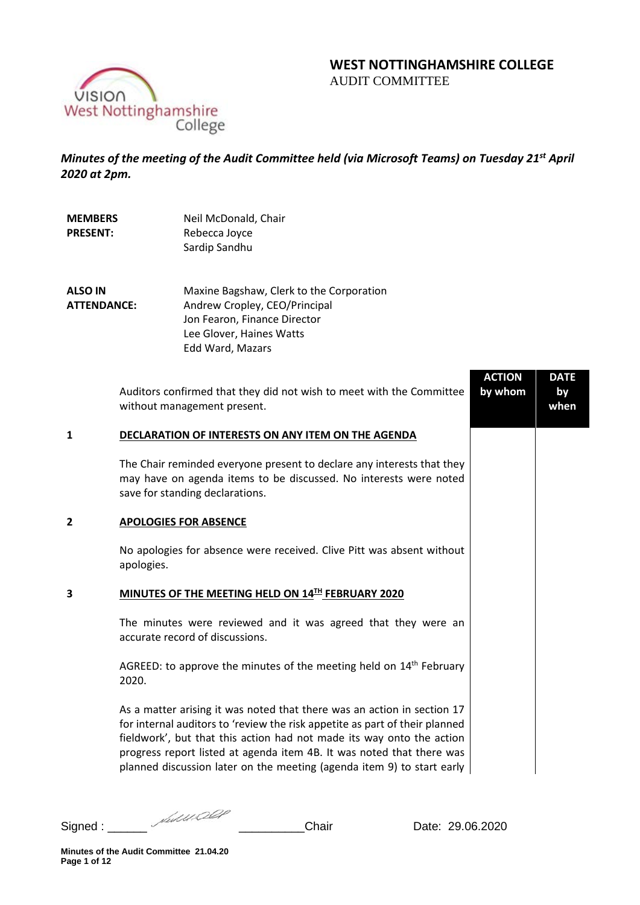# **WEST NOTTINGHAMSHIRE COLLEGE**  AUDIT COMMITTEE



*Minutes of the meeting of the Audit Committee held (via Microsoft Teams) on Tuesday 21st April 2020 at 2pm.* 

| <b>MEMBERS</b><br><b>PRESENT:</b>    |                                                   | Neil McDonald, Chair<br>Rebecca Joyce<br>Sardip Sandhu                                                                                                                                                                                                                                                                                                                             |                          |                           |  |  |
|--------------------------------------|---------------------------------------------------|------------------------------------------------------------------------------------------------------------------------------------------------------------------------------------------------------------------------------------------------------------------------------------------------------------------------------------------------------------------------------------|--------------------------|---------------------------|--|--|
| <b>ALSO IN</b><br><b>ATTENDANCE:</b> |                                                   | Maxine Bagshaw, Clerk to the Corporation<br>Andrew Cropley, CEO/Principal<br>Jon Fearon, Finance Director<br>Lee Glover, Haines Watts<br>Edd Ward, Mazars                                                                                                                                                                                                                          |                          |                           |  |  |
|                                      |                                                   | Auditors confirmed that they did not wish to meet with the Committee<br>without management present.                                                                                                                                                                                                                                                                                | <b>ACTION</b><br>by whom | <b>DATE</b><br>by<br>when |  |  |
| $\mathbf{1}$                         |                                                   | DECLARATION OF INTERESTS ON ANY ITEM ON THE AGENDA                                                                                                                                                                                                                                                                                                                                 |                          |                           |  |  |
|                                      |                                                   | The Chair reminded everyone present to declare any interests that they<br>may have on agenda items to be discussed. No interests were noted<br>save for standing declarations.                                                                                                                                                                                                     |                          |                           |  |  |
| 2                                    |                                                   | <b>APOLOGIES FOR ABSENCE</b>                                                                                                                                                                                                                                                                                                                                                       |                          |                           |  |  |
|                                      | apologies.                                        | No apologies for absence were received. Clive Pitt was absent without                                                                                                                                                                                                                                                                                                              |                          |                           |  |  |
| 3                                    | MINUTES OF THE MEETING HELD ON 14TH FEBRUARY 2020 |                                                                                                                                                                                                                                                                                                                                                                                    |                          |                           |  |  |
|                                      |                                                   | The minutes were reviewed and it was agreed that they were an<br>accurate record of discussions.                                                                                                                                                                                                                                                                                   |                          |                           |  |  |
|                                      | 2020.                                             | AGREED: to approve the minutes of the meeting held on 14 <sup>th</sup> February                                                                                                                                                                                                                                                                                                    |                          |                           |  |  |
|                                      |                                                   | As a matter arising it was noted that there was an action in section 17<br>for internal auditors to 'review the risk appetite as part of their planned<br>fieldwork', but that this action had not made its way onto the action<br>progress report listed at agenda item 4B. It was noted that there was<br>planned discussion later on the meeting (agenda item 9) to start early |                          |                           |  |  |

Signed : \_\_\_\_\_\_ \_\_\_\_\_\_\_\_\_\_Chair Date: 29.06.2020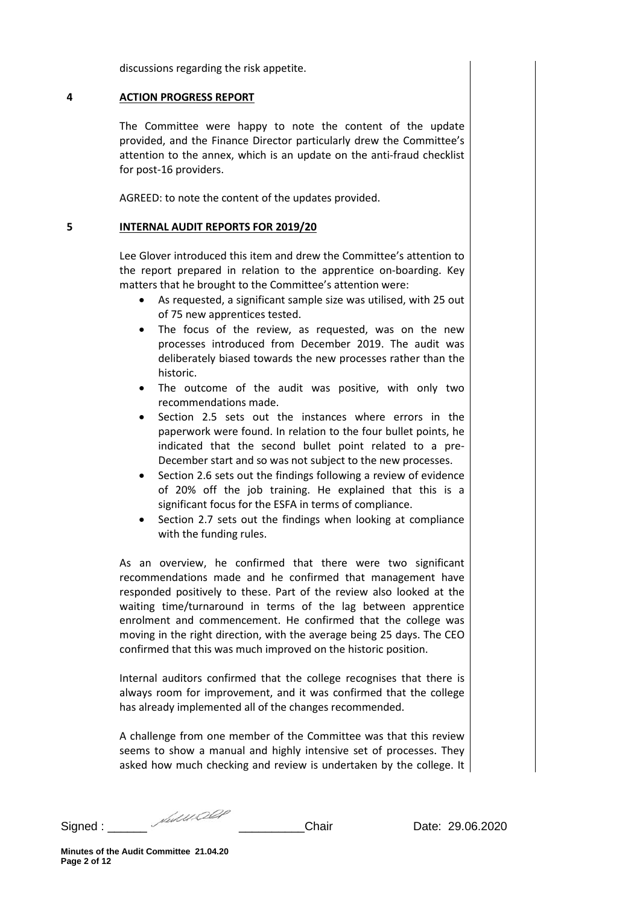discussions regarding the risk appetite.

## **4 ACTION PROGRESS REPORT**

The Committee were happy to note the content of the update provided, and the Finance Director particularly drew the Committee's attention to the annex, which is an update on the anti-fraud checklist for post-16 providers.

AGREED: to note the content of the updates provided.

### **5 INTERNAL AUDIT REPORTS FOR 2019/20**

Lee Glover introduced this item and drew the Committee's attention to the report prepared in relation to the apprentice on-boarding. Key matters that he brought to the Committee's attention were:

- As requested, a significant sample size was utilised, with 25 out of 75 new apprentices tested.
- The focus of the review, as requested, was on the new processes introduced from December 2019. The audit was deliberately biased towards the new processes rather than the historic.
- The outcome of the audit was positive, with only two recommendations made.
- Section 2.5 sets out the instances where errors in the paperwork were found. In relation to the four bullet points, he indicated that the second bullet point related to a pre-December start and so was not subject to the new processes.
- Section 2.6 sets out the findings following a review of evidence of 20% off the job training. He explained that this is a significant focus for the ESFA in terms of compliance.
- Section 2.7 sets out the findings when looking at compliance with the funding rules.

As an overview, he confirmed that there were two significant recommendations made and he confirmed that management have responded positively to these. Part of the review also looked at the waiting time/turnaround in terms of the lag between apprentice enrolment and commencement. He confirmed that the college was moving in the right direction, with the average being 25 days. The CEO confirmed that this was much improved on the historic position.

Internal auditors confirmed that the college recognises that there is always room for improvement, and it was confirmed that the college has already implemented all of the changes recommended.

A challenge from one member of the Committee was that this review seems to show a manual and highly intensive set of processes. They asked how much checking and review is undertaken by the college. It

Signed : \_\_\_\_\_\_ *Multived \_\_\_\_\_\_\_\_\_\_\_\_\_*Chair Date: 29.06.2020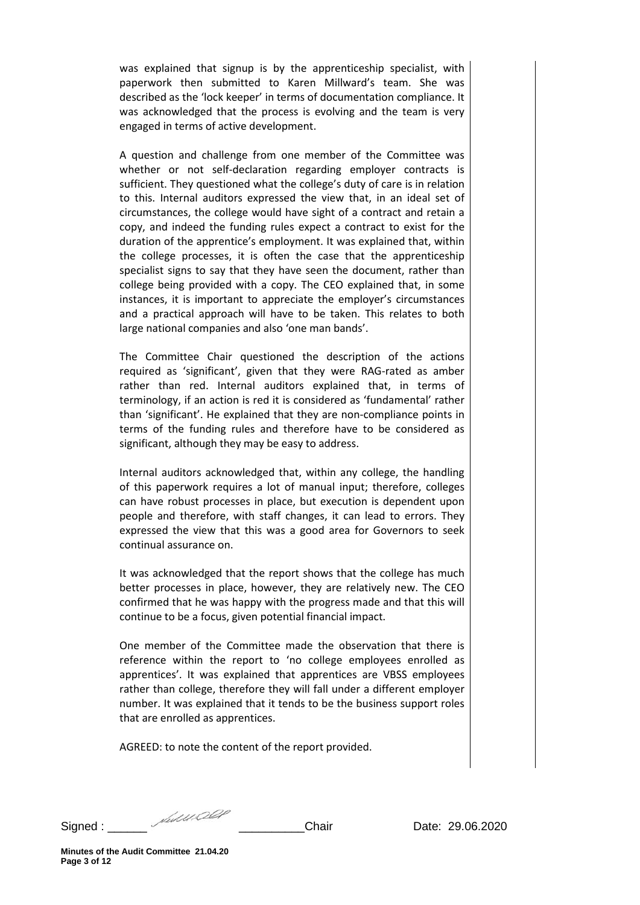was explained that signup is by the apprenticeship specialist, with paperwork then submitted to Karen Millward's team. She was described as the 'lock keeper' in terms of documentation compliance. It was acknowledged that the process is evolving and the team is very engaged in terms of active development.

A question and challenge from one member of the Committee was whether or not self-declaration regarding employer contracts is sufficient. They questioned what the college's duty of care is in relation to this. Internal auditors expressed the view that, in an ideal set of circumstances, the college would have sight of a contract and retain a copy, and indeed the funding rules expect a contract to exist for the duration of the apprentice's employment. It was explained that, within the college processes, it is often the case that the apprenticeship specialist signs to say that they have seen the document, rather than college being provided with a copy. The CEO explained that, in some instances, it is important to appreciate the employer's circumstances and a practical approach will have to be taken. This relates to both large national companies and also 'one man bands'.

The Committee Chair questioned the description of the actions required as 'significant', given that they were RAG-rated as amber rather than red. Internal auditors explained that, in terms of terminology, if an action is red it is considered as 'fundamental' rather than 'significant'. He explained that they are non-compliance points in terms of the funding rules and therefore have to be considered as significant, although they may be easy to address.

Internal auditors acknowledged that, within any college, the handling of this paperwork requires a lot of manual input; therefore, colleges can have robust processes in place, but execution is dependent upon people and therefore, with staff changes, it can lead to errors. They expressed the view that this was a good area for Governors to seek continual assurance on.

It was acknowledged that the report shows that the college has much better processes in place, however, they are relatively new. The CEO confirmed that he was happy with the progress made and that this will continue to be a focus, given potential financial impact.

One member of the Committee made the observation that there is reference within the report to 'no college employees enrolled as apprentices'. It was explained that apprentices are VBSS employees rather than college, therefore they will fall under a different employer number. It was explained that it tends to be the business support roles that are enrolled as apprentices.

AGREED: to note the content of the report provided.

Signed : \_\_\_\_\_\_\_ *Multived and \_\_\_\_\_\_\_\_\_\_\_\_\_\_*Chair Date: 29.06.2020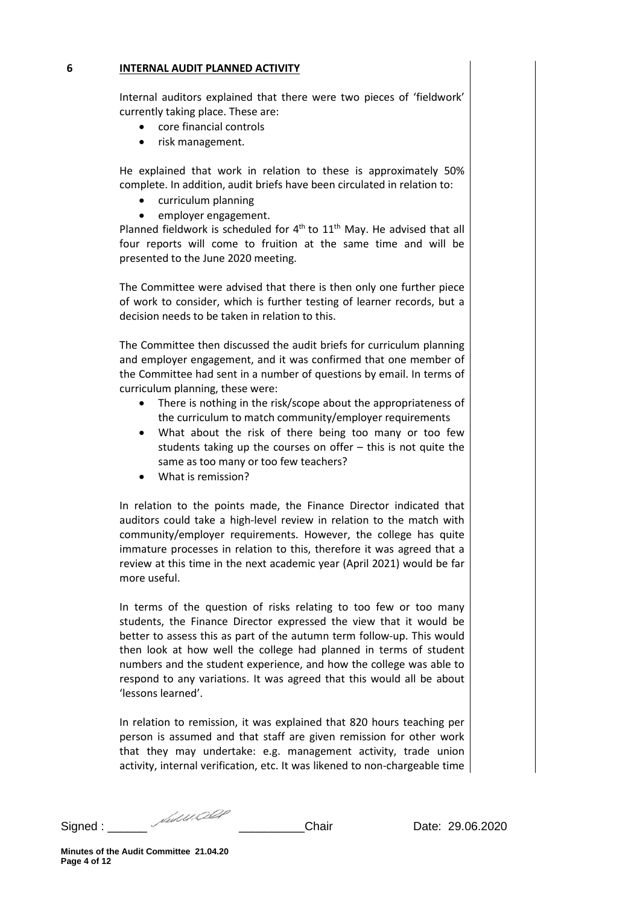### **6 INTERNAL AUDIT PLANNED ACTIVITY**

Internal auditors explained that there were two pieces of 'fieldwork' currently taking place. These are:

- core financial controls
- risk management.

He explained that work in relation to these is approximately 50% complete. In addition, audit briefs have been circulated in relation to:

- curriculum planning
- employer engagement.

Planned fieldwork is scheduled for  $4<sup>th</sup>$  to  $11<sup>th</sup>$  May. He advised that all four reports will come to fruition at the same time and will be presented to the June 2020 meeting.

The Committee were advised that there is then only one further piece of work to consider, which is further testing of learner records, but a decision needs to be taken in relation to this.

The Committee then discussed the audit briefs for curriculum planning and employer engagement, and it was confirmed that one member of the Committee had sent in a number of questions by email. In terms of curriculum planning, these were:

- There is nothing in the risk/scope about the appropriateness of the curriculum to match community/employer requirements
- What about the risk of there being too many or too few students taking up the courses on offer – this is not quite the same as too many or too few teachers?
- What is remission?

In relation to the points made, the Finance Director indicated that auditors could take a high-level review in relation to the match with community/employer requirements. However, the college has quite immature processes in relation to this, therefore it was agreed that a review at this time in the next academic year (April 2021) would be far more useful.

In terms of the question of risks relating to too few or too many students, the Finance Director expressed the view that it would be better to assess this as part of the autumn term follow-up. This would then look at how well the college had planned in terms of student numbers and the student experience, and how the college was able to respond to any variations. It was agreed that this would all be about 'lessons learned'.

In relation to remission, it was explained that 820 hours teaching per person is assumed and that staff are given remission for other work that they may undertake: e.g. management activity, trade union activity, internal verification, etc. It was likened to non-chargeable time

Signed : \_\_\_\_\_\_\_ *Multived at* \_\_\_\_\_\_\_\_\_\_\_\_\_\_\_Chair \_\_\_\_\_\_\_\_\_Date: 29.06.2020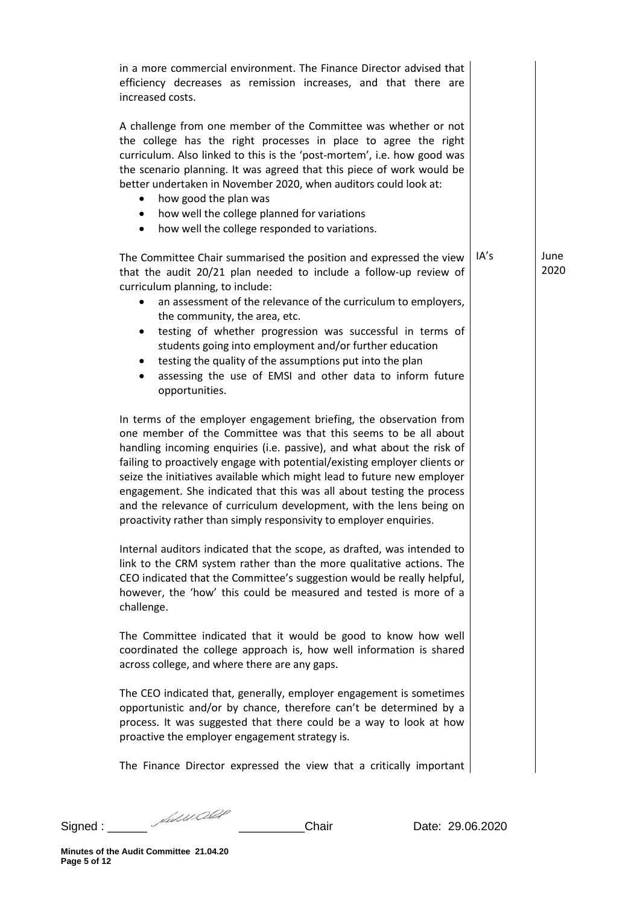| in a more commercial environment. The Finance Director advised that<br>efficiency decreases as remission increases, and that there are<br>increased costs.                                                                                                                                                                                                                                                                                                                                                                                                                                    |      |              |
|-----------------------------------------------------------------------------------------------------------------------------------------------------------------------------------------------------------------------------------------------------------------------------------------------------------------------------------------------------------------------------------------------------------------------------------------------------------------------------------------------------------------------------------------------------------------------------------------------|------|--------------|
| A challenge from one member of the Committee was whether or not<br>the college has the right processes in place to agree the right<br>curriculum. Also linked to this is the 'post-mortem', i.e. how good was<br>the scenario planning. It was agreed that this piece of work would be<br>better undertaken in November 2020, when auditors could look at:<br>how good the plan was<br>٠<br>how well the college planned for variations<br>$\bullet$<br>how well the college responded to variations.<br>$\bullet$                                                                            |      |              |
| The Committee Chair summarised the position and expressed the view<br>that the audit 20/21 plan needed to include a follow-up review of<br>curriculum planning, to include:<br>an assessment of the relevance of the curriculum to employers,<br>the community, the area, etc.<br>testing of whether progression was successful in terms of<br>$\bullet$<br>students going into employment and/or further education<br>testing the quality of the assumptions put into the plan<br>$\bullet$<br>assessing the use of EMSI and other data to inform future<br>$\bullet$<br>opportunities.      | IA's | June<br>2020 |
| In terms of the employer engagement briefing, the observation from<br>one member of the Committee was that this seems to be all about<br>handling incoming enquiries (i.e. passive), and what about the risk of<br>failing to proactively engage with potential/existing employer clients or<br>seize the initiatives available which might lead to future new employer<br>engagement. She indicated that this was all about testing the process<br>and the relevance of curriculum development, with the lens being on<br>proactivity rather than simply responsivity to employer enquiries. |      |              |
| Internal auditors indicated that the scope, as drafted, was intended to<br>link to the CRM system rather than the more qualitative actions. The<br>CEO indicated that the Committee's suggestion would be really helpful,<br>however, the 'how' this could be measured and tested is more of a<br>challenge.                                                                                                                                                                                                                                                                                  |      |              |
| The Committee indicated that it would be good to know how well<br>coordinated the college approach is, how well information is shared<br>across college, and where there are any gaps.                                                                                                                                                                                                                                                                                                                                                                                                        |      |              |
| The CEO indicated that, generally, employer engagement is sometimes<br>opportunistic and/or by chance, therefore can't be determined by a<br>process. It was suggested that there could be a way to look at how<br>proactive the employer engagement strategy is.                                                                                                                                                                                                                                                                                                                             |      |              |
| The Finance Director expressed the view that a critically important                                                                                                                                                                                                                                                                                                                                                                                                                                                                                                                           |      |              |

Signed : \_\_\_\_\_\_ \_\_\_\_\_\_\_\_\_\_Chair Date: 29.06.2020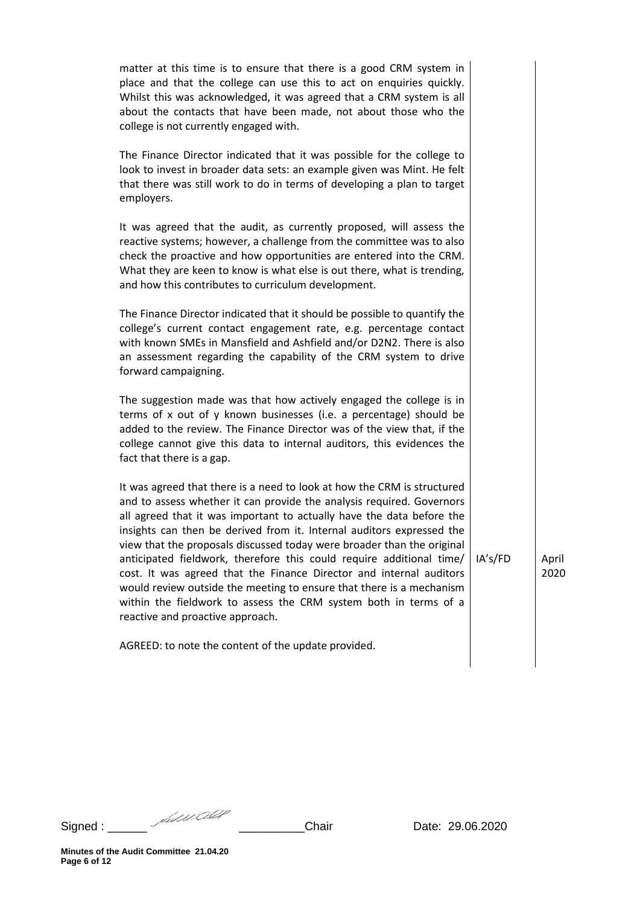| matter at this time is to ensure that there is a good CRM system in<br>place and that the college can use this to act on enquiries quickly.<br>Whilst this was acknowledged, it was agreed that a CRM system is all<br>about the contacts that have been made, not about those who the<br>college is not currently engaged with.                                                                                                                                                                                                                                                                                                                                                                            |         |               |
|-------------------------------------------------------------------------------------------------------------------------------------------------------------------------------------------------------------------------------------------------------------------------------------------------------------------------------------------------------------------------------------------------------------------------------------------------------------------------------------------------------------------------------------------------------------------------------------------------------------------------------------------------------------------------------------------------------------|---------|---------------|
| The Finance Director indicated that it was possible for the college to<br>look to invest in broader data sets: an example given was Mint. He felt<br>that there was still work to do in terms of developing a plan to target<br>employers.                                                                                                                                                                                                                                                                                                                                                                                                                                                                  |         |               |
| It was agreed that the audit, as currently proposed, will assess the<br>reactive systems; however, a challenge from the committee was to also<br>check the proactive and how opportunities are entered into the CRM.<br>What they are keen to know is what else is out there, what is trending,<br>and how this contributes to curriculum development.                                                                                                                                                                                                                                                                                                                                                      |         |               |
| The Finance Director indicated that it should be possible to quantify the<br>college's current contact engagement rate, e.g. percentage contact<br>with known SMEs in Mansfield and Ashfield and/or D2N2. There is also<br>an assessment regarding the capability of the CRM system to drive<br>forward campaigning.                                                                                                                                                                                                                                                                                                                                                                                        |         |               |
| The suggestion made was that how actively engaged the college is in<br>terms of x out of y known businesses (i.e. a percentage) should be<br>added to the review. The Finance Director was of the view that, if the<br>college cannot give this data to internal auditors, this evidences the<br>fact that there is a gap.                                                                                                                                                                                                                                                                                                                                                                                  |         |               |
| It was agreed that there is a need to look at how the CRM is structured<br>and to assess whether it can provide the analysis required. Governors<br>all agreed that it was important to actually have the data before the<br>insights can then be derived from it. Internal auditors expressed the<br>view that the proposals discussed today were broader than the original<br>anticipated fieldwork, therefore this could require additional time/<br>cost. It was agreed that the Finance Director and internal auditors<br>would review outside the meeting to ensure that there is a mechanism<br>within the fieldwork to assess the CRM system both in terms of a<br>reactive and proactive approach. | IA's/FD | April<br>2020 |
| AGREED: to note the content of the update provided.                                                                                                                                                                                                                                                                                                                                                                                                                                                                                                                                                                                                                                                         |         |               |

Signed : \_\_\_\_\_\_ \_\_\_\_\_\_\_\_\_\_Chair Date: 29.06.2020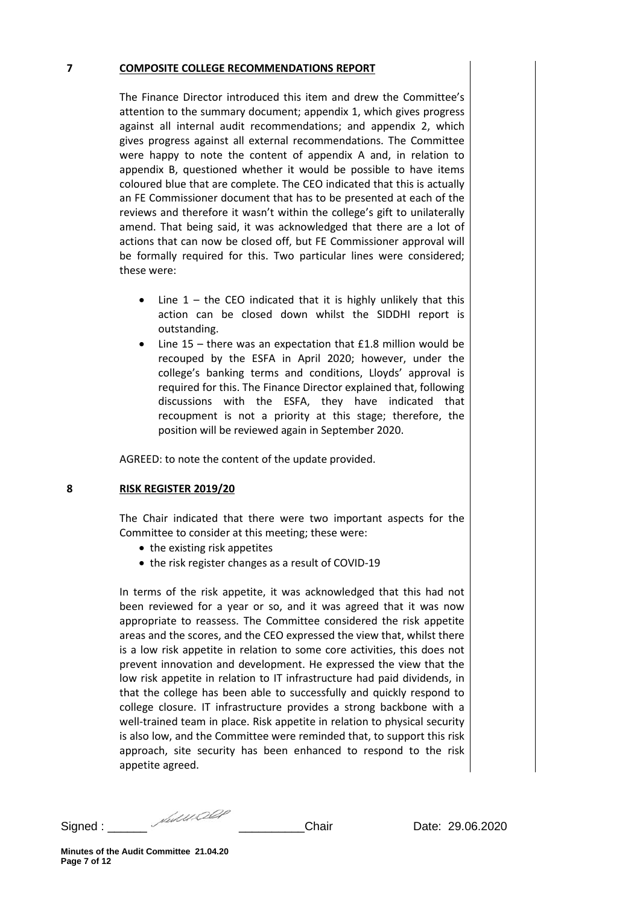## **7 COMPOSITE COLLEGE RECOMMENDATIONS REPORT**

The Finance Director introduced this item and drew the Committee's attention to the summary document; appendix 1, which gives progress against all internal audit recommendations; and appendix 2, which gives progress against all external recommendations. The Committee were happy to note the content of appendix A and, in relation to appendix B, questioned whether it would be possible to have items coloured blue that are complete. The CEO indicated that this is actually an FE Commissioner document that has to be presented at each of the reviews and therefore it wasn't within the college's gift to unilaterally amend. That being said, it was acknowledged that there are a lot of actions that can now be closed off, but FE Commissioner approval will be formally required for this. Two particular lines were considered; these were:

- Line  $1 -$  the CEO indicated that it is highly unlikely that this action can be closed down whilst the SIDDHI report is outstanding.
- Line 15 there was an expectation that  $£1.8$  million would be recouped by the ESFA in April 2020; however, under the college's banking terms and conditions, Lloyds' approval is required for this. The Finance Director explained that, following discussions with the ESFA, they have indicated that recoupment is not a priority at this stage; therefore, the position will be reviewed again in September 2020.

AGREED: to note the content of the update provided.

# **8 RISK REGISTER 2019/20**

The Chair indicated that there were two important aspects for the Committee to consider at this meeting; these were:

- the existing risk appetites
- the risk register changes as a result of COVID-19

In terms of the risk appetite, it was acknowledged that this had not been reviewed for a year or so, and it was agreed that it was now appropriate to reassess. The Committee considered the risk appetite areas and the scores, and the CEO expressed the view that, whilst there is a low risk appetite in relation to some core activities, this does not prevent innovation and development. He expressed the view that the low risk appetite in relation to IT infrastructure had paid dividends, in that the college has been able to successfully and quickly respond to college closure. IT infrastructure provides a strong backbone with a well-trained team in place. Risk appetite in relation to physical security is also low, and the Committee were reminded that, to support this risk approach, site security has been enhanced to respond to the risk appetite agreed.

Signed : \_\_\_\_\_\_\_ *Multived at* \_\_\_\_\_\_\_\_\_\_\_\_\_\_\_Chair \_\_\_\_\_\_\_\_\_Date: 29.06.2020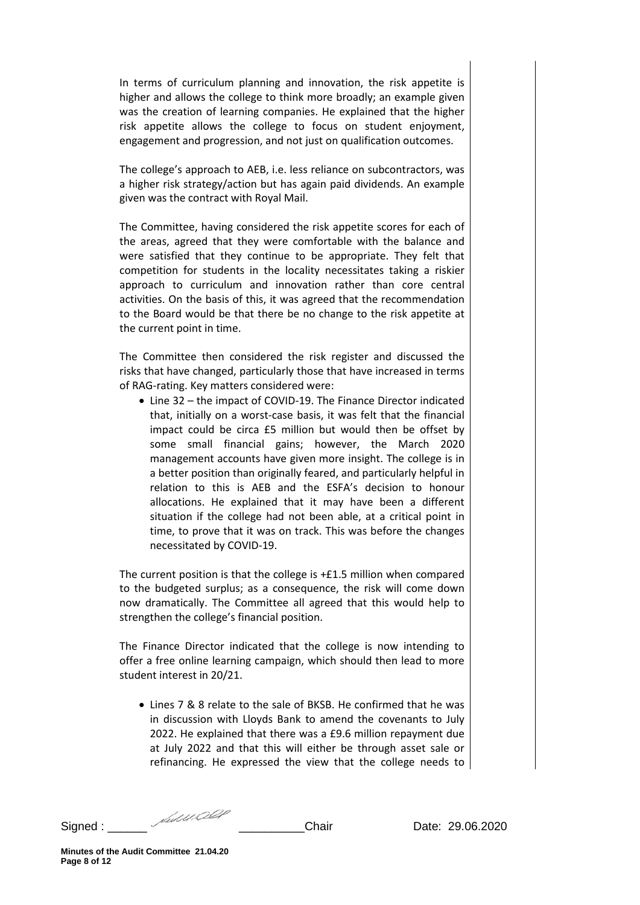In terms of curriculum planning and innovation, the risk appetite is higher and allows the college to think more broadly; an example given was the creation of learning companies. He explained that the higher risk appetite allows the college to focus on student enjoyment, engagement and progression, and not just on qualification outcomes.

The college's approach to AEB, i.e. less reliance on subcontractors, was a higher risk strategy/action but has again paid dividends. An example given was the contract with Royal Mail.

The Committee, having considered the risk appetite scores for each of the areas, agreed that they were comfortable with the balance and were satisfied that they continue to be appropriate. They felt that competition for students in the locality necessitates taking a riskier approach to curriculum and innovation rather than core central activities. On the basis of this, it was agreed that the recommendation to the Board would be that there be no change to the risk appetite at the current point in time.

The Committee then considered the risk register and discussed the risks that have changed, particularly those that have increased in terms of RAG-rating. Key matters considered were:

• Line 32 – the impact of COVID-19. The Finance Director indicated that, initially on a worst-case basis, it was felt that the financial impact could be circa £5 million but would then be offset by some small financial gains; however, the March 2020 management accounts have given more insight. The college is in a better position than originally feared, and particularly helpful in relation to this is AEB and the ESFA's decision to honour allocations. He explained that it may have been a different situation if the college had not been able, at a critical point in time, to prove that it was on track. This was before the changes necessitated by COVID-19.

The current position is that the college is +£1.5 million when compared to the budgeted surplus; as a consequence, the risk will come down now dramatically. The Committee all agreed that this would help to strengthen the college's financial position.

The Finance Director indicated that the college is now intending to offer a free online learning campaign, which should then lead to more student interest in 20/21.

• Lines 7 & 8 relate to the sale of BKSB. He confirmed that he was in discussion with Lloyds Bank to amend the covenants to July 2022. He explained that there was a £9.6 million repayment due at July 2022 and that this will either be through asset sale or refinancing. He expressed the view that the college needs to

Signed : \_\_\_\_\_\_\_ *Multived and \_\_\_\_\_\_\_\_\_\_\_\_\_\_*Chair Date: 29.06.2020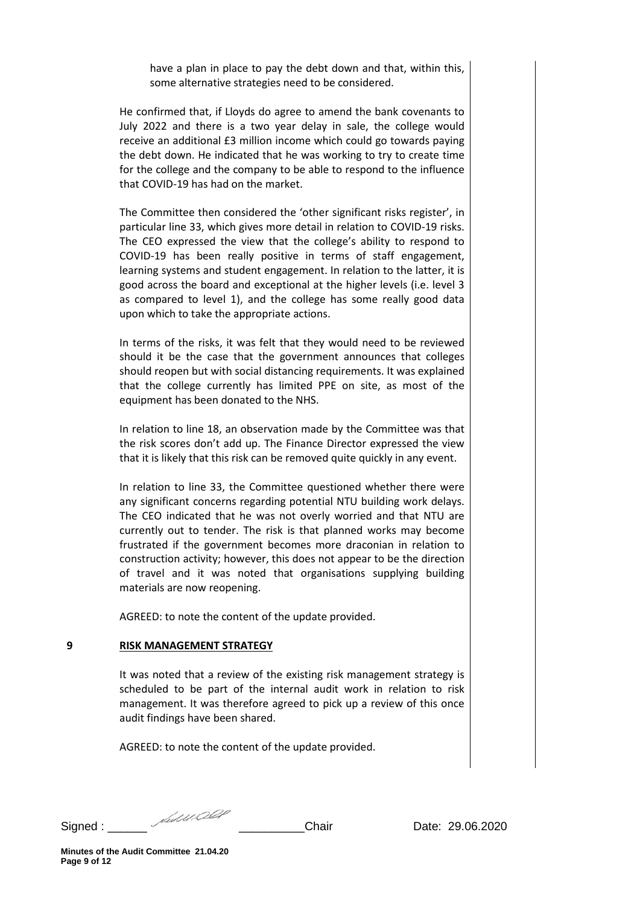have a plan in place to pay the debt down and that, within this, some alternative strategies need to be considered.

He confirmed that, if Lloyds do agree to amend the bank covenants to July 2022 and there is a two year delay in sale, the college would receive an additional £3 million income which could go towards paying the debt down. He indicated that he was working to try to create time for the college and the company to be able to respond to the influence that COVID-19 has had on the market.

The Committee then considered the 'other significant risks register', in particular line 33, which gives more detail in relation to COVID-19 risks. The CEO expressed the view that the college's ability to respond to COVID-19 has been really positive in terms of staff engagement, learning systems and student engagement. In relation to the latter, it is good across the board and exceptional at the higher levels (i.e. level 3 as compared to level 1), and the college has some really good data upon which to take the appropriate actions.

In terms of the risks, it was felt that they would need to be reviewed should it be the case that the government announces that colleges should reopen but with social distancing requirements. It was explained that the college currently has limited PPE on site, as most of the equipment has been donated to the NHS.

In relation to line 18, an observation made by the Committee was that the risk scores don't add up. The Finance Director expressed the view that it is likely that this risk can be removed quite quickly in any event.

In relation to line 33, the Committee questioned whether there were any significant concerns regarding potential NTU building work delays. The CEO indicated that he was not overly worried and that NTU are currently out to tender. The risk is that planned works may become frustrated if the government becomes more draconian in relation to construction activity; however, this does not appear to be the direction of travel and it was noted that organisations supplying building materials are now reopening.

AGREED: to note the content of the update provided.

# **9 RISK MANAGEMENT STRATEGY**

It was noted that a review of the existing risk management strategy is scheduled to be part of the internal audit work in relation to risk management. It was therefore agreed to pick up a review of this once audit findings have been shared.

AGREED: to note the content of the update provided.

Signed : \_\_\_\_\_\_\_ *Multived at* \_\_\_\_\_\_\_\_\_\_\_\_\_\_\_Chair \_\_\_\_\_\_\_\_\_Date: 29.06.2020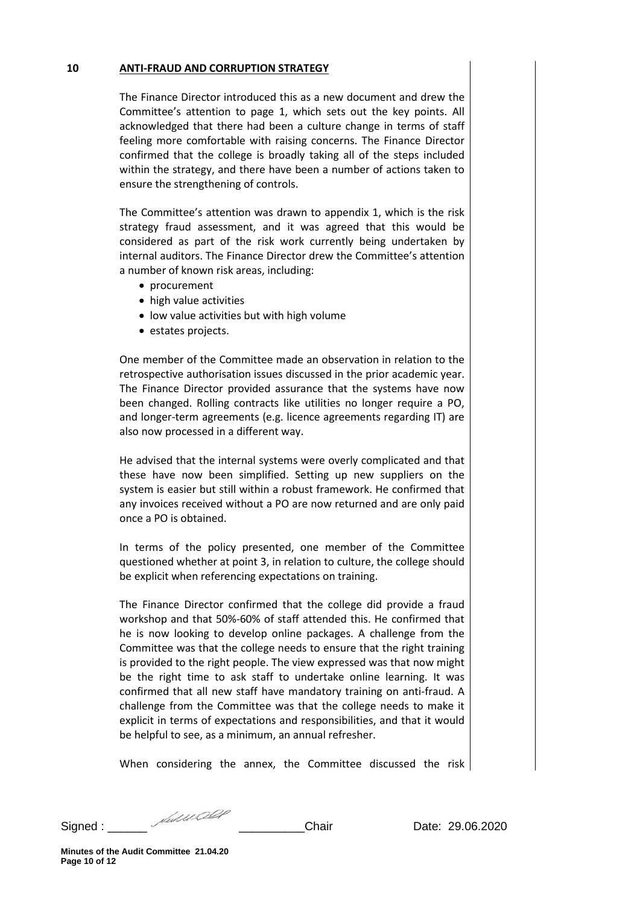## **10 ANTI-FRAUD AND CORRUPTION STRATEGY**

The Finance Director introduced this as a new document and drew the Committee's attention to page 1, which sets out the key points. All acknowledged that there had been a culture change in terms of staff feeling more comfortable with raising concerns. The Finance Director confirmed that the college is broadly taking all of the steps included within the strategy, and there have been a number of actions taken to ensure the strengthening of controls.

The Committee's attention was drawn to appendix 1, which is the risk strategy fraud assessment, and it was agreed that this would be considered as part of the risk work currently being undertaken by internal auditors. The Finance Director drew the Committee's attention a number of known risk areas, including:

- procurement
- high value activities
- low value activities but with high volume
- estates projects.

One member of the Committee made an observation in relation to the retrospective authorisation issues discussed in the prior academic year. The Finance Director provided assurance that the systems have now been changed. Rolling contracts like utilities no longer require a PO, and longer-term agreements (e.g. licence agreements regarding IT) are also now processed in a different way.

He advised that the internal systems were overly complicated and that these have now been simplified. Setting up new suppliers on the system is easier but still within a robust framework. He confirmed that any invoices received without a PO are now returned and are only paid once a PO is obtained.

In terms of the policy presented, one member of the Committee questioned whether at point 3, in relation to culture, the college should be explicit when referencing expectations on training.

The Finance Director confirmed that the college did provide a fraud workshop and that 50%-60% of staff attended this. He confirmed that he is now looking to develop online packages. A challenge from the Committee was that the college needs to ensure that the right training is provided to the right people. The view expressed was that now might be the right time to ask staff to undertake online learning. It was confirmed that all new staff have mandatory training on anti-fraud. A challenge from the Committee was that the college needs to make it explicit in terms of expectations and responsibilities, and that it would be helpful to see, as a minimum, an annual refresher.

When considering the annex, the Committee discussed the risk

Signed : \_\_\_\_\_\_\_ *Multived at* \_\_\_\_\_\_\_\_\_\_\_\_\_\_\_Chair \_\_\_\_\_\_\_\_\_Date: 29.06.2020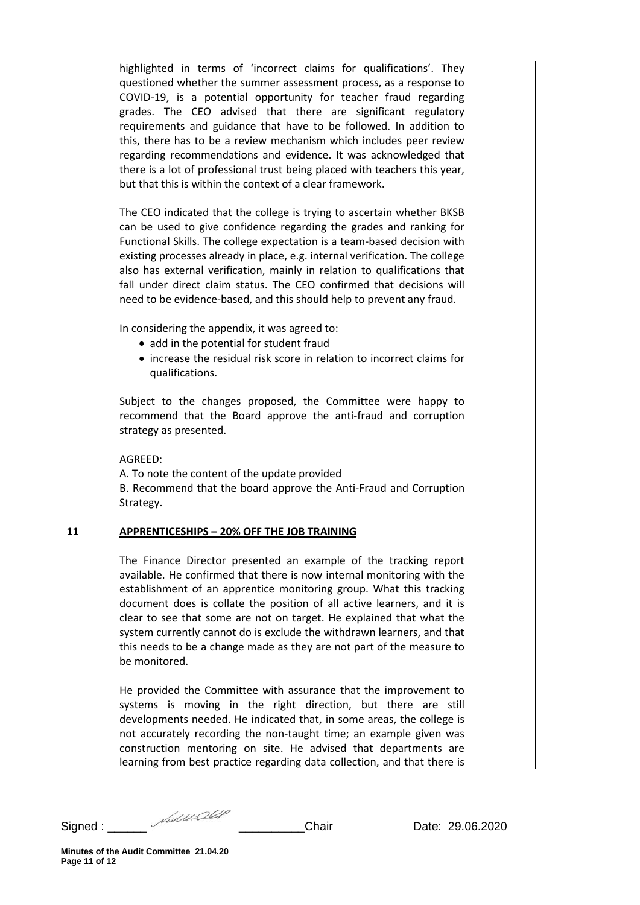highlighted in terms of 'incorrect claims for qualifications'. They questioned whether the summer assessment process, as a response to COVID-19, is a potential opportunity for teacher fraud regarding grades. The CEO advised that there are significant regulatory requirements and guidance that have to be followed. In addition to this, there has to be a review mechanism which includes peer review regarding recommendations and evidence. It was acknowledged that there is a lot of professional trust being placed with teachers this year, but that this is within the context of a clear framework.

The CEO indicated that the college is trying to ascertain whether BKSB can be used to give confidence regarding the grades and ranking for Functional Skills. The college expectation is a team-based decision with existing processes already in place, e.g. internal verification. The college also has external verification, mainly in relation to qualifications that fall under direct claim status. The CEO confirmed that decisions will need to be evidence-based, and this should help to prevent any fraud.

In considering the appendix, it was agreed to:

- add in the potential for student fraud
- increase the residual risk score in relation to incorrect claims for qualifications.

Subject to the changes proposed, the Committee were happy to recommend that the Board approve the anti-fraud and corruption strategy as presented.

AGREED:

A. To note the content of the update provided B. Recommend that the board approve the Anti-Fraud and Corruption Strategy.

# **11 APPRENTICESHIPS – 20% OFF THE JOB TRAINING**

The Finance Director presented an example of the tracking report available. He confirmed that there is now internal monitoring with the establishment of an apprentice monitoring group. What this tracking document does is collate the position of all active learners, and it is clear to see that some are not on target. He explained that what the system currently cannot do is exclude the withdrawn learners, and that this needs to be a change made as they are not part of the measure to be monitored.

He provided the Committee with assurance that the improvement to systems is moving in the right direction, but there are still developments needed. He indicated that, in some areas, the college is not accurately recording the non-taught time; an example given was construction mentoring on site. He advised that departments are learning from best practice regarding data collection, and that there is

Signed : \_\_\_\_\_\_\_ *Multived and \_\_\_\_\_\_\_\_\_\_\_\_\_\_*Chair Date: 29.06.2020